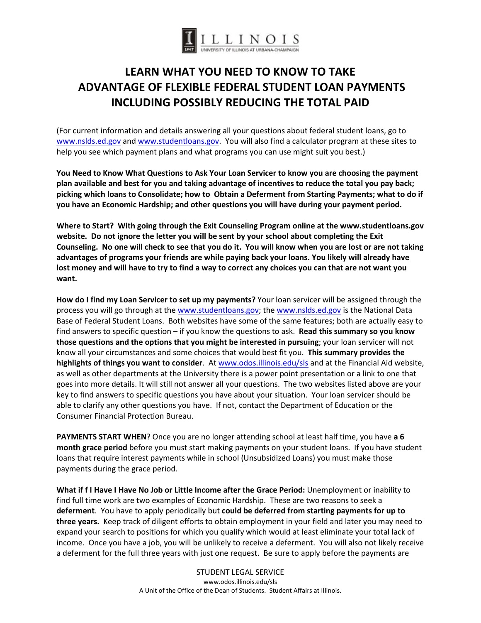

# **LEARN WHAT YOU NEED TO KNOW TO TAKE ADVANTAGE OF FLEXIBLE FEDERAL STUDENT LOAN PAYMENTS INCLUDING POSSIBLY REDUCING THE TOTAL PAID**

(For current information and details answering all your questions about federal student loans, go to [www.nslds.ed.gov](http://www.nslds.ed.gov/) an[d www.studentloans.gov.](http://www.studentloans.gov/) You will also find a calculator program at these sites to help you see which payment plans and what programs you can use might suit you best.)

**You Need to Know What Questions to Ask Your Loan Servicer to know you are choosing the payment plan available and best for you and taking advantage of incentives to reduce the total you pay back; picking which loans to Consolidate; how to Obtain a Deferment from Starting Payments; what to do if you have an Economic Hardship; and other questions you will have during your payment period.**

**Where to Start? With going through the Exit Counseling Program online at the www.studentloans.gov website. Do not ignore the letter you will be sent by your school about completing the Exit Counseling. No one will check to see that you do it. You will know when you are lost or are not taking advantages of programs your friends are while paying back your loans. You likely will already have lost money and will have to try to find a way to correct any choices you can that are not want you want.**

**How do I find my Loan Servicer to set up my payments?** Your loan servicer will be assigned through the process you will go through at the [www.studentloans.gov;](http://www.studentloans.gov/) the [www.nslds.ed.gov](http://www.nslds.ed.gov/) is the National Data Base of Federal Student Loans. Both websites have some of the same features; both are actually easy to find answers to specific question – if you know the questions to ask. **Read this summary so you know those questions and the options that you might be interested in pursuing**; your loan servicer will not know all your circumstances and some choices that would best fit you. **This summary provides the highlights of things you want to consider**. At [www.odos.illinois.edu/sls](http://www.odos.illinois.edu/sls) and at the Financial Aid website, as well as other departments at the University there is a power point presentation or a link to one that goes into more details. It will still not answer all your questions. The two websites listed above are your key to find answers to specific questions you have about your situation. Your loan servicer should be able to clarify any other questions you have. If not, contact the Department of Education or the Consumer Financial Protection Bureau.

**PAYMENTS START WHEN**? Once you are no longer attending school at least half time, you have **a 6 month grace period** before you must start making payments on your student loans. If you have student loans that require interest payments while in school (Unsubsidized Loans) you must make those payments during the grace period.

**What if f I Have I Have No Job or Little Income after the Grace Period:** Unemployment or inability to find full time work are two examples of Economic Hardship. These are two reasons to seek a **deferment**. You have to apply periodically but **could be deferred from starting payments for up to three years.** Keep track of diligent efforts to obtain employment in your field and later you may need to expand your search to positions for which you qualify which would at least eliminate your total lack of income. Once you have a job, you will be unlikely to receive a deferment. You will also not likely receive a deferment for the full three years with just one request. Be sure to apply before the payments are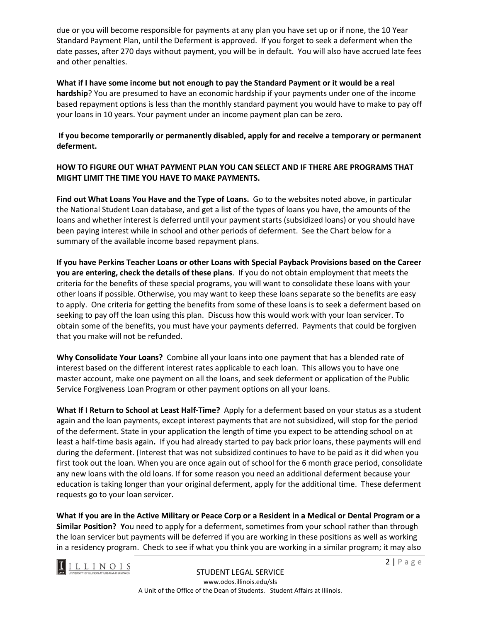due or you will become responsible for payments at any plan you have set up or if none, the 10 Year Standard Payment Plan, until the Deferment is approved. If you forget to seek a deferment when the date passes, after 270 days without payment, you will be in default. You will also have accrued late fees and other penalties.

**What if I have some income but not enough to pay the Standard Payment or it would be a real hardship**? You are presumed to have an economic hardship if your payments under one of the income based repayment options is less than the monthly standard payment you would have to make to pay off your loans in 10 years. Your payment under an income payment plan can be zero.

### **If you become temporarily or permanently disabled, apply for and receive a temporary or permanent deferment.**

#### **HOW TO FIGURE OUT WHAT PAYMENT PLAN YOU CAN SELECT AND IF THERE ARE PROGRAMS THAT MIGHT LIMIT THE TIME YOU HAVE TO MAKE PAYMENTS.**

**Find out What Loans You Have and the Type of Loans.** Go to the websites noted above, in particular the National Student Loan database, and get a list of the types of loans you have, the amounts of the loans and whether interest is deferred until your payment starts (subsidized loans) or you should have been paying interest while in school and other periods of deferment. See the Chart below for a summary of the available income based repayment plans.

**If you have Perkins Teacher Loans or other Loans with Special Payback Provisions based on the Career you are entering, check the details of these plans**. If you do not obtain employment that meets the criteria for the benefits of these special programs, you will want to consolidate these loans with your other loans if possible. Otherwise, you may want to keep these loans separate so the benefits are easy to apply. One criteria for getting the benefits from some of these loans is to seek a deferment based on seeking to pay off the loan using this plan. Discuss how this would work with your loan servicer. To obtain some of the benefits, you must have your payments deferred. Payments that could be forgiven that you make will not be refunded.

**Why Consolidate Your Loans?** Combine all your loans into one payment that has a blended rate of interest based on the different interest rates applicable to each loan. This allows you to have one master account, make one payment on all the loans, and seek deferment or application of the Public Service Forgiveness Loan Program or other payment options on all your loans.

**What If I Return to School at Least Half-Time?** Apply for a deferment based on your status as a student again and the loan payments, except interest payments that are not subsidized, will stop for the period of the deferment. State in your application the length of time you expect to be attending school on at least a half-time basis again**.** If you had already started to pay back prior loans, these payments will end during the deferment. (Interest that was not subsidized continues to have to be paid as it did when you first took out the loan. When you are once again out of school for the 6 month grace period, consolidate any new loans with the old loans. If for some reason you need an additional deferment because your education is taking longer than your original deferment, apply for the additional time. These deferment requests go to your loan servicer.

**What If you are in the Active Military or Peace Corp or a Resident in a Medical or Dental Program or a Similar Position? Y**ou need to apply for a deferment, sometimes from your school rather than through the loan servicer but payments will be deferred if you are working in these positions as well as working in a residency program. Check to see if what you think you are working in a similar program; it may also

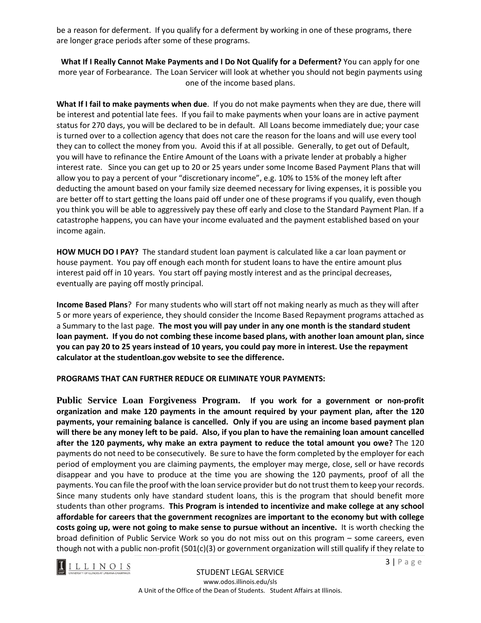be a reason for deferment. If you qualify for a deferment by working in one of these programs, there are longer grace periods after some of these programs.

**What If I Really Cannot Make Payments and I Do Not Qualify for a Deferment?** You can apply for one more year of Forbearance. The Loan Servicer will look at whether you should not begin payments using one of the income based plans.

**What If I fail to make payments when due**. If you do not make payments when they are due, there will be interest and potential late fees. If you fail to make payments when your loans are in active payment status for 270 days, you will be declared to be in default. All Loans become immediately due; your case is turned over to a collection agency that does not care the reason for the loans and will use every tool they can to collect the money from you. Avoid this if at all possible. Generally, to get out of Default, you will have to refinance the Entire Amount of the Loans with a private lender at probably a higher interest rate. Since you can get up to 20 or 25 years under some Income Based Payment Plans that will allow you to pay a percent of your "discretionary income", e.g. 10% to 15% of the money left after deducting the amount based on your family size deemed necessary for living expenses, it is possible you are better off to start getting the loans paid off under one of these programs if you qualify, even though you think you will be able to aggressively pay these off early and close to the Standard Payment Plan. If a catastrophe happens, you can have your income evaluated and the payment established based on your income again.

**HOW MUCH DO I PAY?** The standard student loan payment is calculated like a car loan payment or house payment. You pay off enough each month for student loans to have the entire amount plus interest paid off in 10 years. You start off paying mostly interest and as the principal decreases, eventually are paying off mostly principal.

**Income Based Plans**? For many students who will start off not making nearly as much as they will after 5 or more years of experience, they should consider the Income Based Repayment programs attached as a Summary to the last page. **The most you will pay under in any one month is the standard student loan payment. If you do not combing these income based plans, with another loan amount plan, since you can pay 20 to 25 years instead of 10 years, you could pay more in interest. Use the repayment calculator at the studentloan.gov website to see the difference.**

**PROGRAMS THAT CAN FURTHER REDUCE OR ELIMINATE YOUR PAYMENTS:**

**Public Service Loan Forgiveness Program. If you work for a government or non-profit organization and make 120 payments in the amount required by your payment plan, after the 120 payments, your remaining balance is cancelled. Only if you are using an income based payment plan will there be any money left to be paid. Also, if you plan to have the remaining loan amount cancelled after the 120 payments, why make an extra payment to reduce the total amount you owe?** The 120 payments do not need to be consecutively. Be sure to have the form completed by the employer for each period of employment you are claiming payments, the employer may merge, close, sell or have records disappear and you have to produce at the time you are showing the 120 payments, proof of all the payments. You can file the proof with the loan service provider but do not trust them to keep your records. Since many students only have standard student loans, this is the program that should benefit more students than other programs. **This Program is intended to incentivize and make college at any school affordable for careers that the government recognizes are important to the economy but with college costs going up, were not going to make sense to pursue without an incentive.** It is worth checking the broad definition of Public Service Work so you do not miss out on this program – some careers, even though not with a public non-profit (501(c)(3) or government organization will still qualify if they relate to

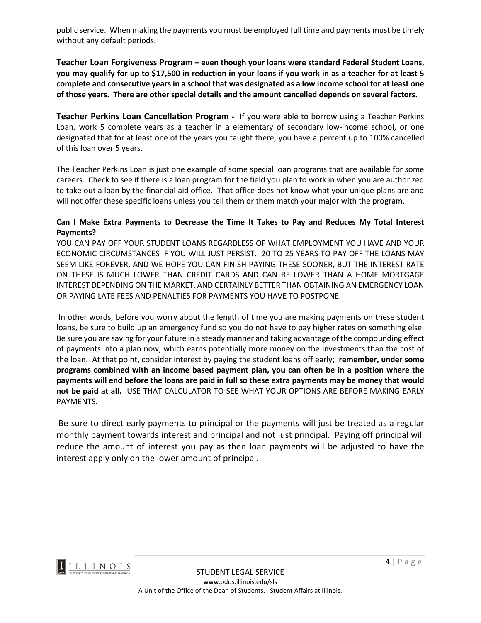public service. When making the payments you must be employed full time and payments must be timely without any default periods.

**Teacher Loan Forgiveness Program – even though your loans were standard Federal Student Loans, you may qualify for up to \$17,500 in reduction in your loans if you work in as a teacher for at least 5 complete and consecutive years in a school that was designated as a low income school for at least one of those years. There are other special details and the amount cancelled depends on several factors.**

**Teacher Perkins Loan Cancellation Program -** If you were able to borrow using a Teacher Perkins Loan, work 5 complete years as a teacher in a elementary of secondary low-income school, or one designated that for at least one of the years you taught there, you have a percent up to 100% cancelled of this loan over 5 years.

The Teacher Perkins Loan is just one example of some special loan programs that are available for some careers. Check to see if there is a loan program for the field you plan to work in when you are authorized to take out a loan by the financial aid office. That office does not know what your unique plans are and will not offer these specific loans unless you tell them or them match your major with the program.

#### **Can I Make Extra Payments to Decrease the Time It Takes to Pay and Reduces My Total Interest Payments?**

YOU CAN PAY OFF YOUR STUDENT LOANS REGARDLESS OF WHAT EMPLOYMENT YOU HAVE AND YOUR ECONOMIC CIRCUMSTANCES IF YOU WILL JUST PERSIST. 20 TO 25 YEARS TO PAY OFF THE LOANS MAY SEEM LIKE FOREVER, AND WE HOPE YOU CAN FINISH PAYING THESE SOONER, BUT THE INTEREST RATE ON THESE IS MUCH LOWER THAN CREDIT CARDS AND CAN BE LOWER THAN A HOME MORTGAGE INTEREST DEPENDING ON THE MARKET, AND CERTAINLY BETTER THAN OBTAINING AN EMERGENCY LOAN OR PAYING LATE FEES AND PENALTIES FOR PAYMENTS YOU HAVE TO POSTPONE.

In other words, before you worry about the length of time you are making payments on these student loans, be sure to build up an emergency fund so you do not have to pay higher rates on something else. Be sure you are saving for your future in a steady manner and taking advantage of the compounding effect of payments into a plan now, which earns potentially more money on the investments than the cost of the loan. At that point, consider interest by paying the student loans off early; **remember, under some programs combined with an income based payment plan, you can often be in a position where the payments will end before the loans are paid in full so these extra payments may be money that would not be paid at all.** USE THAT CALCULATOR TO SEE WHAT YOUR OPTIONS ARE BEFORE MAKING EARLY PAYMENTS.

Be sure to direct early payments to principal or the payments will just be treated as a regular monthly payment towards interest and principal and not just principal. Paying off principal will reduce the amount of interest you pay as then loan payments will be adjusted to have the interest apply only on the lower amount of principal.

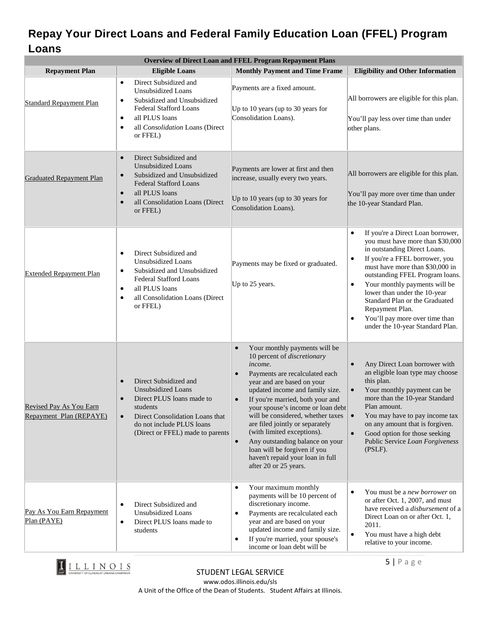## **Repay Your Direct Loans and Federal Family Education Loan (FFEL) Program Loans**

| <b>Overview of Direct Loan and FFEL Program Repayment Plans</b> |                                                                                                                                                                                                                                 |                                                                                                                                                                                                                                                                                                                                                                                                                                                                                                                                               |                                                                                                                                                                                                                                                                                                                                                                                                                                                               |  |
|-----------------------------------------------------------------|---------------------------------------------------------------------------------------------------------------------------------------------------------------------------------------------------------------------------------|-----------------------------------------------------------------------------------------------------------------------------------------------------------------------------------------------------------------------------------------------------------------------------------------------------------------------------------------------------------------------------------------------------------------------------------------------------------------------------------------------------------------------------------------------|---------------------------------------------------------------------------------------------------------------------------------------------------------------------------------------------------------------------------------------------------------------------------------------------------------------------------------------------------------------------------------------------------------------------------------------------------------------|--|
| <b>Repayment Plan</b>                                           | <b>Eligible Loans</b>                                                                                                                                                                                                           | <b>Monthly Payment and Time Frame</b>                                                                                                                                                                                                                                                                                                                                                                                                                                                                                                         | <b>Eligibility and Other Information</b>                                                                                                                                                                                                                                                                                                                                                                                                                      |  |
| <b>Standard Repayment Plan</b>                                  | Direct Subsidized and<br>$\bullet$<br><b>Unsubsidized Loans</b><br>Subsidized and Unsubsidized<br>$\bullet$<br><b>Federal Stafford Loans</b><br>all PLUS loans<br>$\bullet$<br>all Consolidation Loans (Direct<br>٠<br>or FFEL) | Payments are a fixed amount.<br>Up to 10 years (up to 30 years for<br>Consolidation Loans).                                                                                                                                                                                                                                                                                                                                                                                                                                                   | All borrowers are eligible for this plan.<br>You'll pay less over time than under<br>other plans.                                                                                                                                                                                                                                                                                                                                                             |  |
| <b>Graduated Repayment Plan</b>                                 | Direct Subsidized and<br>$\bullet$<br><b>Unsubsidized Loans</b><br>Subsidized and Unsubsidized<br><b>Federal Stafford Loans</b><br>all PLUS loans<br>$\bullet$<br>all Consolidation Loans (Direct<br>or FFEL)                   | Payments are lower at first and then<br>increase, usually every two years.<br>Up to 10 years (up to 30 years for<br>Consolidation Loans).                                                                                                                                                                                                                                                                                                                                                                                                     | All borrowers are eligible for this plan.<br>You'll pay more over time than under<br>the 10-year Standard Plan.                                                                                                                                                                                                                                                                                                                                               |  |
| <b>Extended Repayment Plan</b>                                  | Direct Subsidized and<br>$\bullet$<br><b>Unsubsidized Loans</b><br>Subsidized and Unsubsidized<br>٠<br><b>Federal Stafford Loans</b><br>all PLUS loans<br>$\bullet$<br>all Consolidation Loans (Direct<br>٠<br>or FFEL)         | Payments may be fixed or graduated.<br>Up to 25 years.                                                                                                                                                                                                                                                                                                                                                                                                                                                                                        | If you're a Direct Loan borrower,<br>$\bullet$<br>you must have more than \$30,000<br>in outstanding Direct Loans.<br>If you're a FFEL borrower, you<br>$\bullet$<br>must have more than \$30,000 in<br>outstanding FFEL Program loans.<br>Your monthly payments will be<br>$\bullet$<br>lower than under the 10-year<br>Standard Plan or the Graduated<br>Repayment Plan.<br>You'll pay more over time than<br>$\bullet$<br>under the 10-year Standard Plan. |  |
| Revised Pay As You Earn<br>Repayment Plan (REPAYE)              | Direct Subsidized and<br><b>Unsubsidized Loans</b><br>Direct PLUS loans made to<br>students<br>Direct Consolidation Loans that<br>$\bullet$<br>do not include PLUS loans<br>(Direct or FFEL) made to parents                    | Your monthly payments will be<br>$\bullet$<br>10 percent of discretionary<br>income.<br>Payments are recalculated each<br>$\bullet$<br>year and are based on your<br>updated income and family size.<br>If you're married, both your and<br>$\bullet$<br>your spouse's income or loan debt<br>will be considered, whether taxes<br>are filed jointly or separately<br>(with limited exceptions).<br>Any outstanding balance on your<br>$\bullet$<br>loan will be forgiven if you<br>haven't repaid your loan in full<br>after 20 or 25 years. | Any Direct Loan borrower with<br>$\bullet$<br>an eligible loan type may choose<br>this plan.<br>Your monthly payment can be<br>$\bullet$<br>more than the 10-year Standard<br>Plan amount.<br>You may have to pay income tax<br>$\bullet$<br>on any amount that is forgiven.<br>Good option for those seeking<br>$\bullet$<br>Public Service Loan Forgiveness<br>(PSLF).                                                                                      |  |
| Pay As You Earn Repayment<br>Plan (PAYE)                        | Direct Subsidized and<br>$\bullet$<br><b>Unsubsidized Loans</b><br>Direct PLUS loans made to<br>$\bullet$<br>students                                                                                                           | Your maximum monthly<br>$\bullet$<br>payments will be 10 percent of<br>discretionary income.<br>Payments are recalculated each<br>٠<br>year and are based on your<br>updated income and family size.<br>If you're married, your spouse's<br>$\bullet$<br>income or loan debt will be                                                                                                                                                                                                                                                          | You must be a new borrower on<br>$\bullet$<br>or after Oct. 1, 2007, and must<br>have received a <i>disbursement</i> of a<br>Direct Loan on or after Oct. 1,<br>2011.<br>You must have a high debt<br>$\bullet$<br>relative to your income.                                                                                                                                                                                                                   |  |



5 | Page